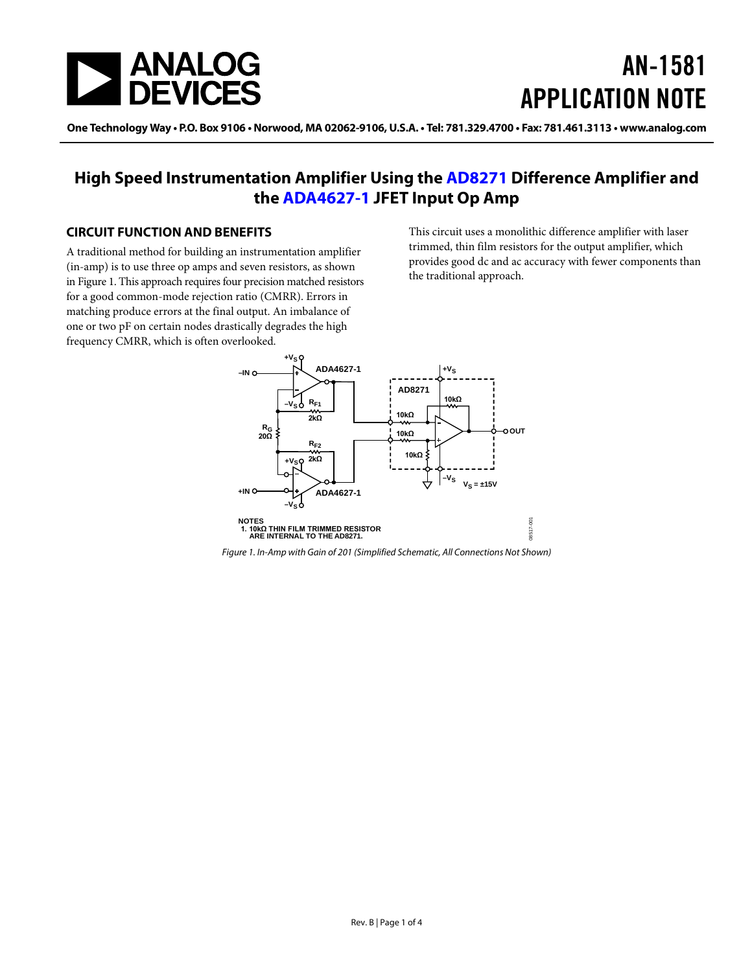

# AN-1581 APPLICATION NOTE

One Technology Way • P.O. Box 9106 • Norwood, MA 02062-9106, U.S.A. • Tel: 781.329.4700 • Fax: 781.461.3113 • www.analog.com

# **High Speed Instrumentation Amplifier Using the [AD8271](http://www.analog.com/AD8271?doc=AN-1581.pdf) Difference Amplifier and the [ADA4627-1](http://www.analog.com/ADA4627-1?doc=AN-1581.pdf) JFET Input Op Amp**

## <span id="page-0-1"></span>**CIRCUIT FUNCTION AND BENEFITS**

A traditional method for building an instrumentation amplifier (in-amp) is to use three op amps and seven resistors, as shown i[n Figure 1.](#page-0-0) This approach requires four precision matched resistors for a good common-mode rejection ratio (CMRR). Errors in matching produce errors at the final output. An imbalance of one or two pF on certain nodes drastically degrades the high frequency CMRR, which is often overlooked.

This circuit uses a monolithic difference amplifier with laser trimmed, thin film resistors for the output amplifier, which provides good dc and ac accuracy with fewer components than the traditional approach.



<span id="page-0-0"></span>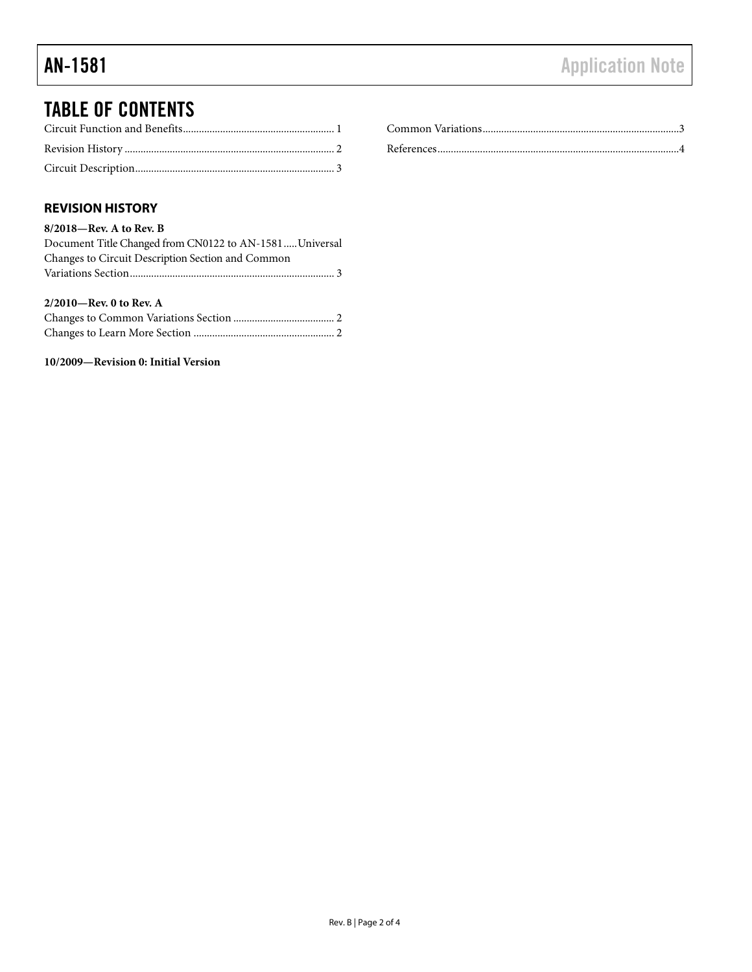# TABLE OF CONTENTS

# <span id="page-1-0"></span>**REVISION HISTORY**

#### **8/2018—Rev. A to Rev. B**

| Document Title Changed from CN0122 to AN-1581  Universal |  |
|----------------------------------------------------------|--|
| Changes to Circuit Description Section and Common        |  |
|                                                          |  |
|                                                          |  |
|                                                          |  |
| $2/2010$ —Rev. 0 to Rev. A                               |  |
|                                                          |  |

# **10/2009—Revision 0: Initial Version**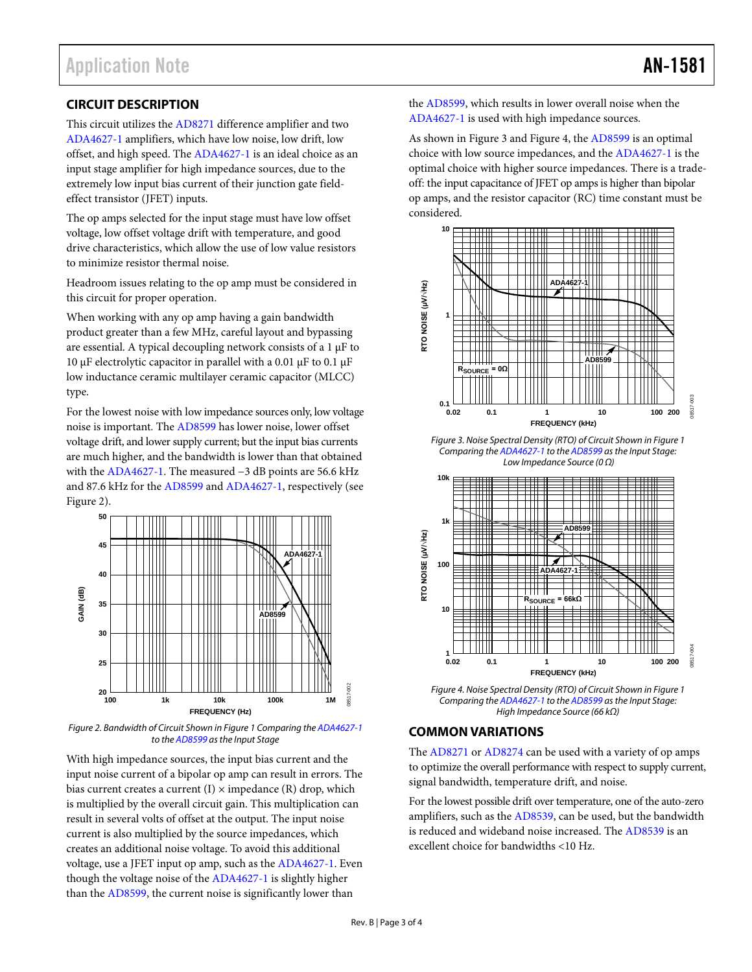# <span id="page-2-0"></span>**CIRCUIT DESCRIPTION**

This circuit utilizes the [AD8271](http://www.analog.com/AD8271?doc=AN-1581.pdf) difference amplifier and two [ADA4627-1](http://www.analog.com/ADA4627-1?doc=AN-1581.pdf) amplifiers, which have low noise, low drift, low offset, and high speed. The [ADA4627-1](http://www.analog.com/ADA4627-1?doc=AN-1581.pdf) is an ideal choice as an input stage amplifier for high impedance sources, due to the extremely low input bias current of their junction gate fieldeffect transistor (JFET) inputs.

The op amps selected for the input stage must have low offset voltage, low offset voltage drift with temperature, and good drive characteristics, which allow the use of low value resistors to minimize resistor thermal noise.

Headroom issues relating to the op amp must be considered in this circuit for proper operation.

When working with any op amp having a gain bandwidth product greater than a few MHz, careful layout and bypassing are essential. A typical decoupling network consists of a 1 µF to 10  $\mu$ F electrolytic capacitor in parallel with a 0.01  $\mu$ F to 0.1  $\mu$ F low inductance ceramic multilayer ceramic capacitor (MLCC) type.

For the lowest noise with low impedance sources only, low voltage noise is important. Th[e AD8599](http://www.analog.com/AD8599?doc=AN-1581.pdf) has lower noise, lower offset voltage drift, and lower supply current; but the input bias currents are much higher, and the bandwidth is lower than that obtained with th[e ADA4627-1.](http://www.analog.com/ADA4627-1?doc=AN-1581.pdf) The measured −3 dB points are 56.6 kHz and 87.6 kHz for the [AD8599](http://www.analog.com/AD8599?doc=AN-1581.pdf) and [ADA4627-1,](http://www.analog.com/ADA4627-1?doc=AN-1581.pdf) respectively (see [Figure 2\)](#page-2-2).



<span id="page-2-2"></span>*Figure 2. Bandwidth of Circuit Shown i[n Figure 1](#page-0-0) Comparing th[e ADA4627-1](http://www.analog.com/ADA4627-1?doc=AN-1581.pdf) to th[e AD8599](http://www.analog.com/AD8599?doc=AN-1581.pdf) as the Input Stage*

With high impedance sources, the input bias current and the input noise current of a bipolar op amp can result in errors. The bias current creates a current  $(I) \times$  impedance  $(R)$  drop, which is multiplied by the overall circuit gain. This multiplication can result in several volts of offset at the output. The input noise current is also multiplied by the source impedances, which creates an additional noise voltage. To avoid this additional voltage, use a JFET input op amp, such as th[e ADA4627-1.](http://www.analog.com/ADA4627-1?doc=AN-1581.pdf) Even though the voltage noise of the [ADA4627-1](http://www.analog.com/ADA4627-1?doc=AN-1581.pdf) is slightly higher than th[e AD8599,](http://www.analog.com/AD8599?doc=AN-1581.pdf) the current noise is significantly lower than

the [AD8599,](http://www.analog.com/AD8599?doc=AN-1581.pdf) which results in lower overall noise when the [ADA4627-1](http://www.analog.com/ADA4627-1?doc=AN-1581.pdf) is used with high impedance sources.

As shown in [Figure 3](#page-2-3) an[d Figure 4,](#page-2-4) th[e AD8599](http://www.analog.com/AD8599?doc=AN-1581.pdf) is an optimal choice with low source impedances, and th[e ADA4627-1](http://www.analog.com/ADA4627-1?doc=AN-1581.pdf) is the optimal choice with higher source impedances. There is a tradeoff: the input capacitance of JFET op amps is higher than bipolar op amps, and the resistor capacitor (RC) time constant must be considered.



<span id="page-2-3"></span>*Figure 3. Noise Spectral Density (RTO) of Circuit Shown i[n Figure 1](#page-0-0) Comparing th[e ADA4627-1](http://www.analog.com/ADA4627-1?doc=AN-1581.pdf) to th[e AD8599](http://www.analog.com/AD8599?doc=AN-1581.pdf) as the Input Stage: Low Impedance Source (0 Ω)*



<span id="page-2-4"></span>*Figure 4. Noise Spectral Density (RTO) of Circuit Shown in Figure 1 Comparing th[e ADA4627-1](http://www.analog.com/ADA4627-1?doc=AN-1581.pdf) to th[e AD8599](http://www.analog.com/AD8599?doc=AN-1581.pdf) as the Input Stage: High Impedance Source (66 kΩ)*

## <span id="page-2-1"></span>**COMMON VARIATIONS**

The [AD8271](http://www.analog.com/AD8271?doc=AN-1581.pdf) o[r AD8274](http://www.analog.com/AD8274?doc=AN-1581.pdf) can be used with a variety of op amps to optimize the overall performance with respect to supply current, signal bandwidth, temperature drift, and noise.

For the lowest possible drift over temperature, one of the auto-zero amplifiers, such as the [AD8539,](http://www.analog.com/AD8539?doc=AN-1581.pdf) can be used, but the bandwidth is reduced and wideband noise increased. Th[e AD8539](http://www.analog.com/AD8539?doc=AN-1581.pdf) is an excellent choice for bandwidths <10 Hz.